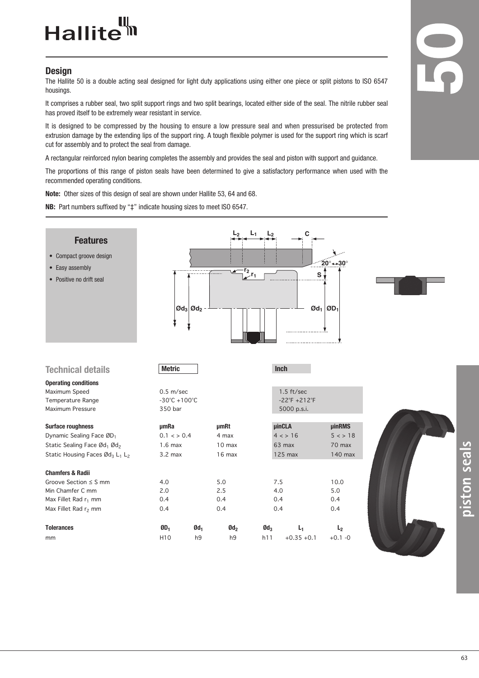## Hallite<sup>tt</sup>

## **Design**

The Hallite 50 is a double acting seal designed for light duty applications using either one piece or split pistons to ISO 6547 housings.

It comprises a rubber seal, two split support rings and two split bearings, located either side of the seal. The nitrile rubber seal has proved itself to be extremely wear resistant in service.

It is designed to be compressed by the housing to ensure a low pressure seal and when pressurised be protected from extrusion damage by the extending lips of the support ring. A tough flexible polymer is used for the support ring which is scarf cut for assembly and to protect the seal from damage.

A rectangular reinforced nylon bearing completes the assembly and provides the seal and piston with support and guidance.

The proportions of this range of piston seals have been determined to give a satisfactory performance when used with the recommended operating conditions.

**Note:** Other sizes of this design of seal are shown under Hallite 53, 64 and 68.

**NB:** Part numbers suffixed by "‡" indicate housing sizes to meet ISO 6547.



**piston seals**

**5**

**0**